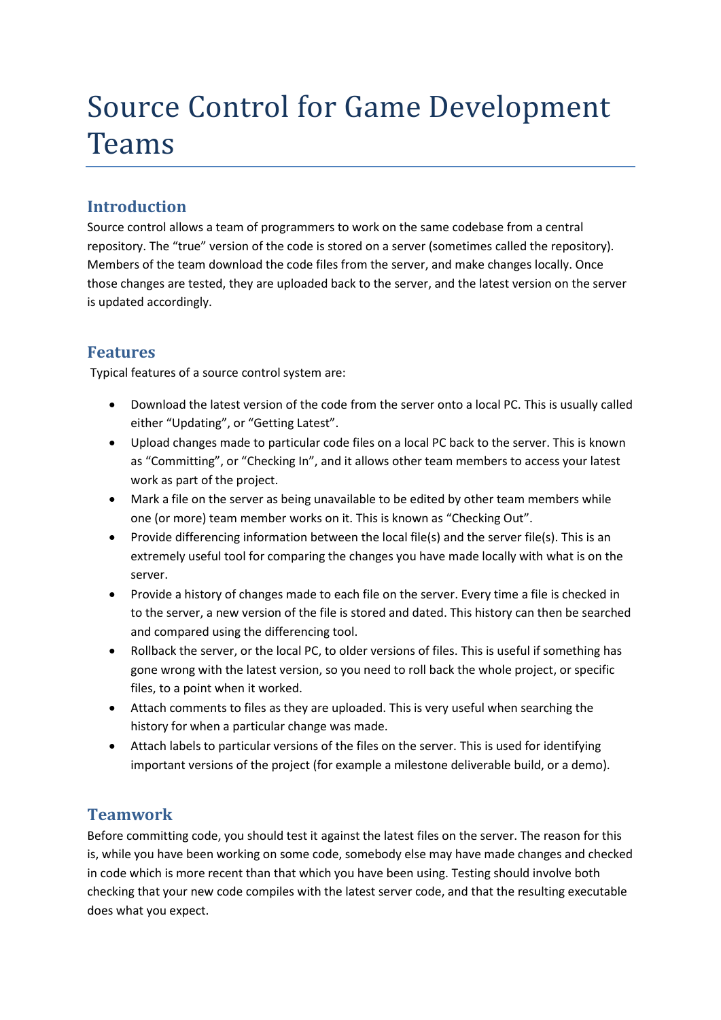# Source Control for Game Development Teams

## **Introduction**

Source control allows a team of programmers to work on the same codebase from a central repository. The "true" version of the code is stored on a server (sometimes called the repository). Members of the team download the code files from the server, and make changes locally. Once those changes are tested, they are uploaded back to the server, and the latest version on the server is updated accordingly.

# **Features**

Typical features of a source control system are:

- Download the latest version of the code from the server onto a local PC. This is usually called either "Updating", or "Getting Latest".
- Upload changes made to particular code files on a local PC back to the server. This is known as "Committing", or "Checking In", and it allows other team members to access your latest work as part of the project.
- Mark a file on the server as being unavailable to be edited by other team members while one (or more) team member works on it. This is known as "Checking Out".
- Provide differencing information between the local file(s) and the server file(s). This is an extremely useful tool for comparing the changes you have made locally with what is on the server.
- Provide a history of changes made to each file on the server. Every time a file is checked in to the server, a new version of the file is stored and dated. This history can then be searched and compared using the differencing tool.
- Rollback the server, or the local PC, to older versions of files. This is useful if something has gone wrong with the latest version, so you need to roll back the whole project, or specific files, to a point when it worked.
- Attach comments to files as they are uploaded. This is very useful when searching the history for when a particular change was made.
- Attach labels to particular versions of the files on the server. This is used for identifying important versions of the project (for example a milestone deliverable build, or a demo).

## **Teamwork**

Before committing code, you should test it against the latest files on the server. The reason for this is, while you have been working on some code, somebody else may have made changes and checked in code which is more recent than that which you have been using. Testing should involve both checking that your new code compiles with the latest server code, and that the resulting executable does what you expect.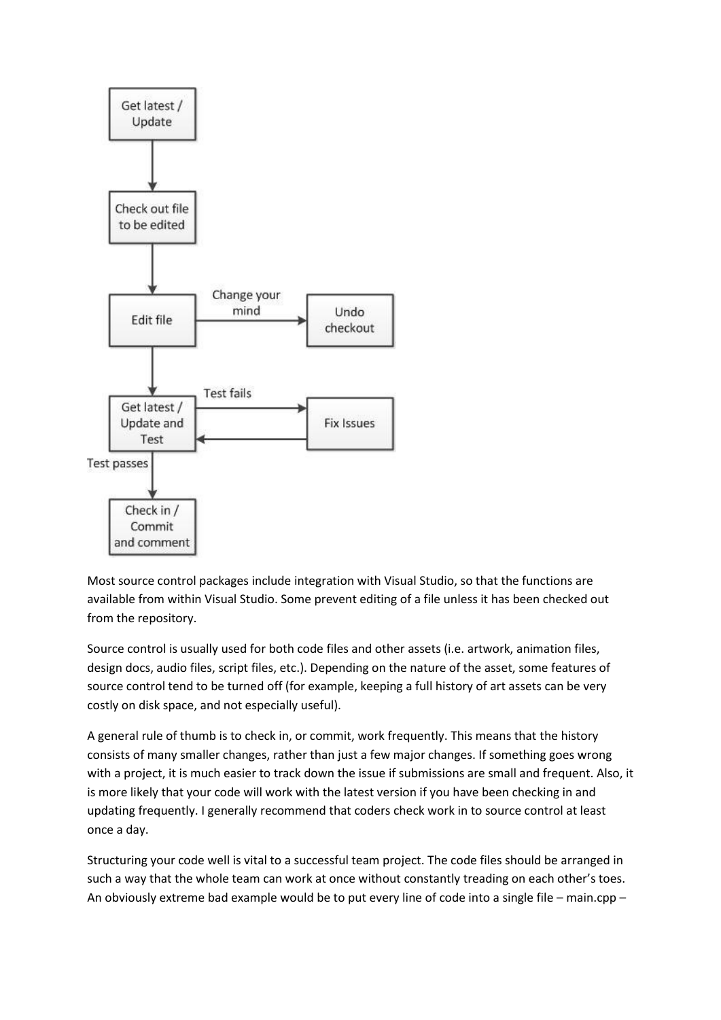

Most source control packages include integration with Visual Studio, so that the functions are available from within Visual Studio. Some prevent editing of a file unless it has been checked out from the repository.

Source control is usually used for both code files and other assets (i.e. artwork, animation files, design docs, audio files, script files, etc.). Depending on the nature of the asset, some features of source control tend to be turned off (for example, keeping a full history of art assets can be very costly on disk space, and not especially useful).

A general rule of thumb is to check in, or commit, work frequently. This means that the history consists of many smaller changes, rather than just a few major changes. If something goes wrong with a project, it is much easier to track down the issue if submissions are small and frequent. Also, it is more likely that your code will work with the latest version if you have been checking in and updating frequently. I generally recommend that coders check work in to source control at least once a day.

Structuring your code well is vital to a successful team project. The code files should be arranged in such a way that the whole team can work at once without constantly treading on each other's toes. An obviously extreme bad example would be to put every line of code into a single file – main.cpp –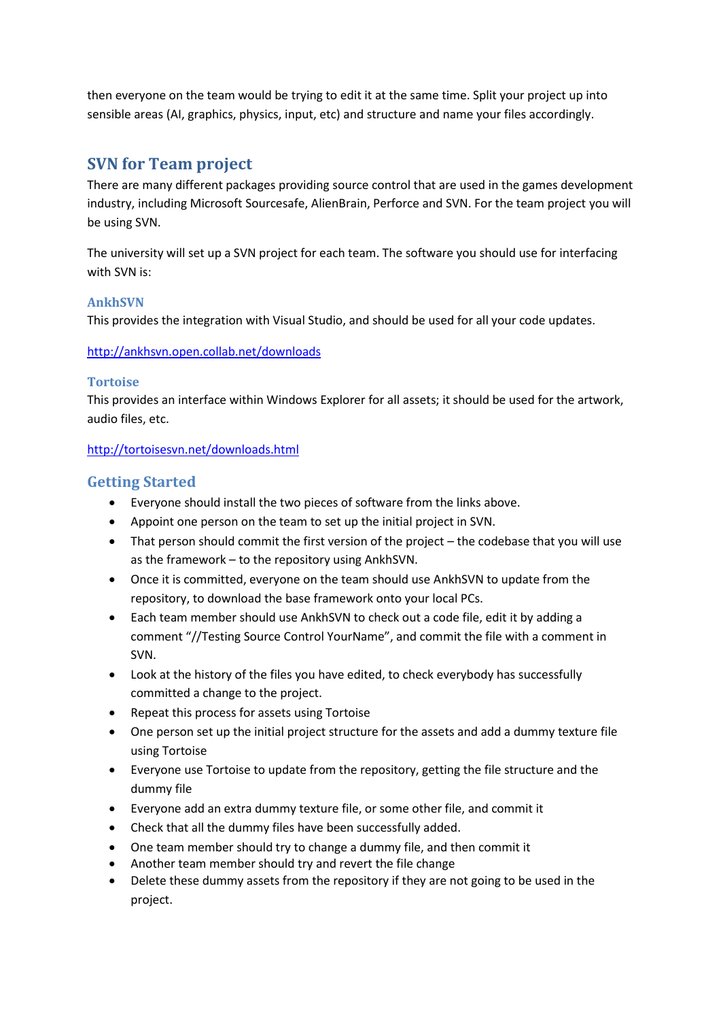then everyone on the team would be trying to edit it at the same time. Split your project up into sensible areas (AI, graphics, physics, input, etc) and structure and name your files accordingly.

## **SVN for Team project**

There are many different packages providing source control that are used in the games development industry, including Microsoft Sourcesafe, AlienBrain, Perforce and SVN. For the team project you will be using SVN.

The university will set up a SVN project for each team. The software you should use for interfacing with SVN is:

#### **AnkhSVN**

This provides the integration with Visual Studio, and should be used for all your code updates.

#### <http://ankhsvn.open.collab.net/downloads>

#### **Tortoise**

This provides an interface within Windows Explorer for all assets; it should be used for the artwork, audio files, etc.

<http://tortoisesvn.net/downloads.html>

## **Getting Started**

- Everyone should install the two pieces of software from the links above.
- Appoint one person on the team to set up the initial project in SVN.
- That person should commit the first version of the project the codebase that you will use as the framework – to the repository using AnkhSVN.
- Once it is committed, everyone on the team should use AnkhSVN to update from the repository, to download the base framework onto your local PCs.
- Each team member should use AnkhSVN to check out a code file, edit it by adding a comment "//Testing Source Control YourName", and commit the file with a comment in SVN.
- Look at the history of the files you have edited, to check everybody has successfully committed a change to the project.
- Repeat this process for assets using Tortoise
- One person set up the initial project structure for the assets and add a dummy texture file using Tortoise
- Everyone use Tortoise to update from the repository, getting the file structure and the dummy file
- Everyone add an extra dummy texture file, or some other file, and commit it
- Check that all the dummy files have been successfully added.
- One team member should try to change a dummy file, and then commit it
- Another team member should try and revert the file change
- Delete these dummy assets from the repository if they are not going to be used in the project.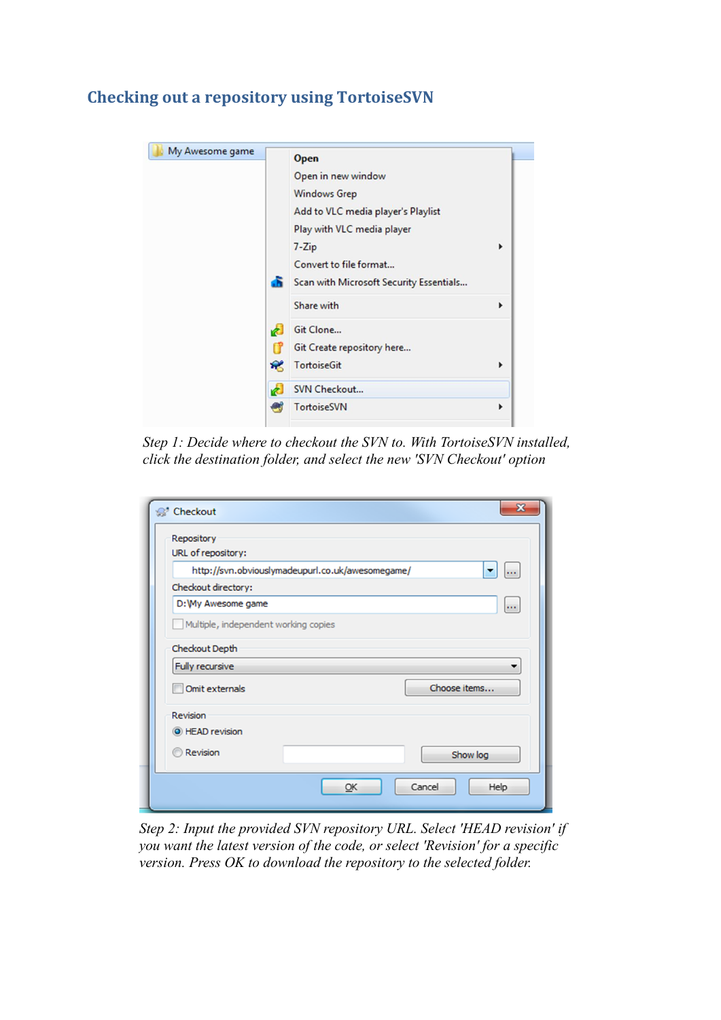## **Checking out a repository using TortoiseSVN**

| My Awesome game | <b>Open</b>                                   |   |
|-----------------|-----------------------------------------------|---|
|                 | Open in new window                            |   |
|                 | <b>Windows Grep</b>                           |   |
|                 | Add to VLC media player's Playlist            |   |
|                 | Play with VLC media player                    |   |
|                 | $7 - Zip$                                     | ١ |
|                 | Convert to file format                        |   |
|                 | a5<br>Scan with Microsoft Security Essentials |   |
|                 | Share with                                    | ▶ |
|                 | Git Clone<br>k.                               |   |
|                 | Git Create repository here                    |   |
|                 | 窸<br><b>TortoiseGit</b>                       | ۱ |
|                 | SVN Checkout<br>K.                            |   |
|                 | <b>TortoiseSVN</b>                            | ▶ |

*Step 1: Decide where to checkout the SVN to. With TortoiseSVN installed, click the destination folder, and select the new 'SVN Checkout' option*

| Repository                           |                                                  |              |  |
|--------------------------------------|--------------------------------------------------|--------------|--|
| URL of repository:                   |                                                  |              |  |
|                                      | http://svn.obviouslymadeupurl.co.uk/awesomegame/ | $\cdots$     |  |
| Checkout directory:                  |                                                  |              |  |
| D: Wy Awesome game<br>$\cdots$       |                                                  |              |  |
| Multiple, independent working copies |                                                  |              |  |
| Checkout Depth                       |                                                  |              |  |
| Fully recursive                      |                                                  |              |  |
| Omit externals                       |                                                  | Choose items |  |
|                                      |                                                  |              |  |
|                                      |                                                  |              |  |
| Revision<br>O HEAD revision          |                                                  |              |  |

*Step 2: Input the provided SVN repository URL. Select 'HEAD revision' if you want the latest version of the code, or select 'Revision' for a specific version. Press OK to download the repository to the selected folder.*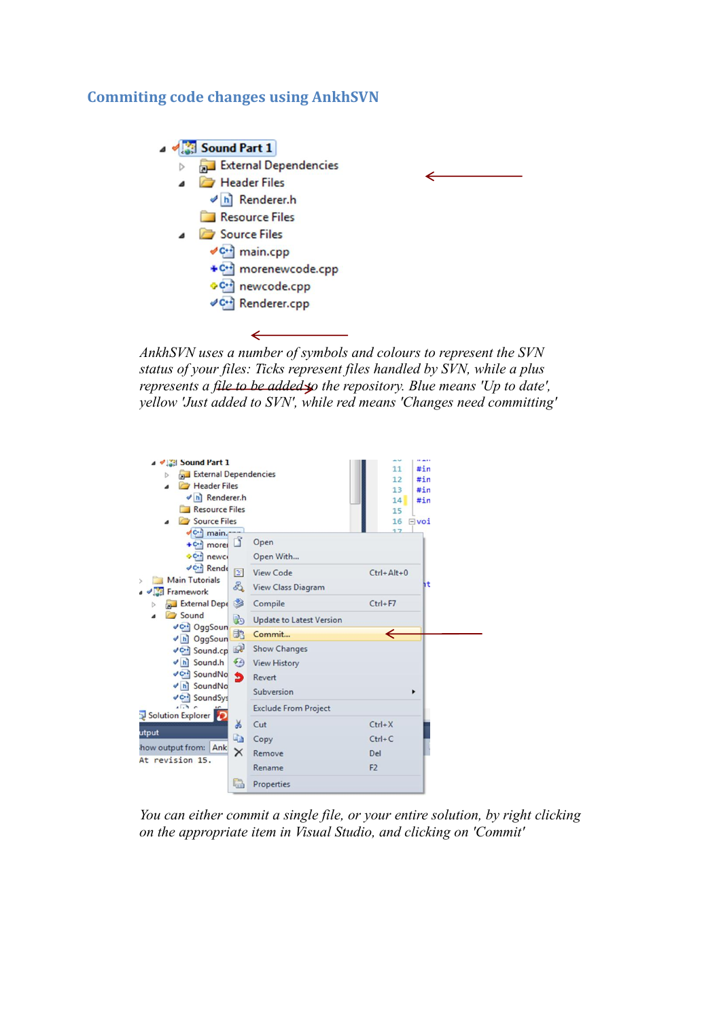## **Commiting code changes using AnkhSVN**



*AnkhSVN uses a number of symbols and colours to represent the SVN status of your files: Ticks represent files handled by SVN, while a plus represents a file to be added to the repository. Blue means 'Up to date', yellow 'Just added to SVN', while red means 'Changes need committing'*



*You can either commit a single file, or your entire solution, by right clicking on the appropriate item in Visual Studio, and clicking on 'Commit'*